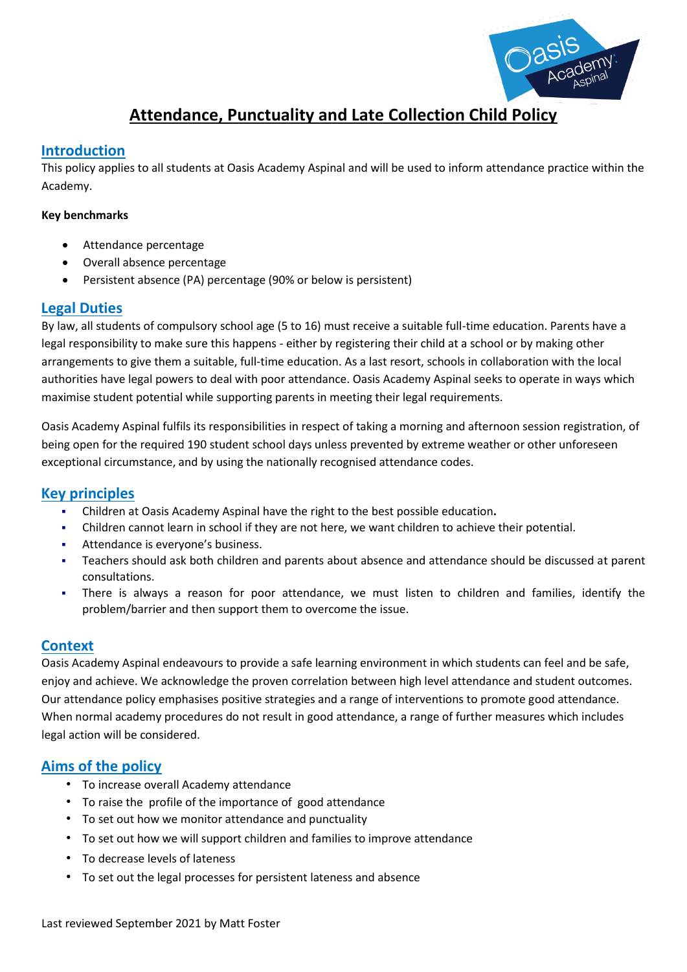

# **Attendance, Punctuality and Late Collection Child Policy**

#### **Introduction**

This policy applies to all students at Oasis Academy Aspinal and will be used to inform attendance practice within the Academy.

#### **Key benchmarks**

- Attendance percentage
- Overall absence percentage
- Persistent absence (PA) percentage (90% or below is persistent)

#### **Legal Duties**

By law, all students of compulsory school age (5 to 16) must receive a suitable full-time education. Parents have a legal responsibility to make sure this happens - either by registering their child at a school or by making other arrangements to give them a suitable, full-time education. As a last resort, schools in collaboration with the local authorities have legal powers to deal with poor attendance. Oasis Academy Aspinal seeks to operate in ways which maximise student potential while supporting parents in meeting their legal requirements.

Oasis Academy Aspinal fulfils its responsibilities in respect of taking a morning and afternoon session registration, of being open for the required 190 student school days unless prevented by extreme weather or other unforeseen exceptional circumstance, and by using the nationally recognised attendance codes.

#### **Key principles**

- Children at Oasis Academy Aspinal have the right to the best possible education**.**
- Children cannot learn in school if they are not here, we want children to achieve their potential.
- Attendance is everyone's business.
- Teachers should ask both children and parents about absence and attendance should be discussed at parent consultations.
- There is always a reason for poor attendance, we must listen to children and families, identify the problem/barrier and then support them to overcome the issue.

#### **Context**

Oasis Academy Aspinal endeavours to provide a safe learning environment in which students can feel and be safe, enjoy and achieve. We acknowledge the proven correlation between high level attendance and student outcomes. Our attendance policy emphasises positive strategies and a range of interventions to promote good attendance. When normal academy procedures do not result in good attendance, a range of further measures which includes legal action will be considered.

#### **Aims of the policy**

- To increase overall Academy attendance
- To raise the profile of the importance of good attendance
- To set out how we monitor attendance and punctuality
- To set out how we will support children and families to improve attendance
- To decrease levels of lateness
- To set out the legal processes for persistent lateness and absence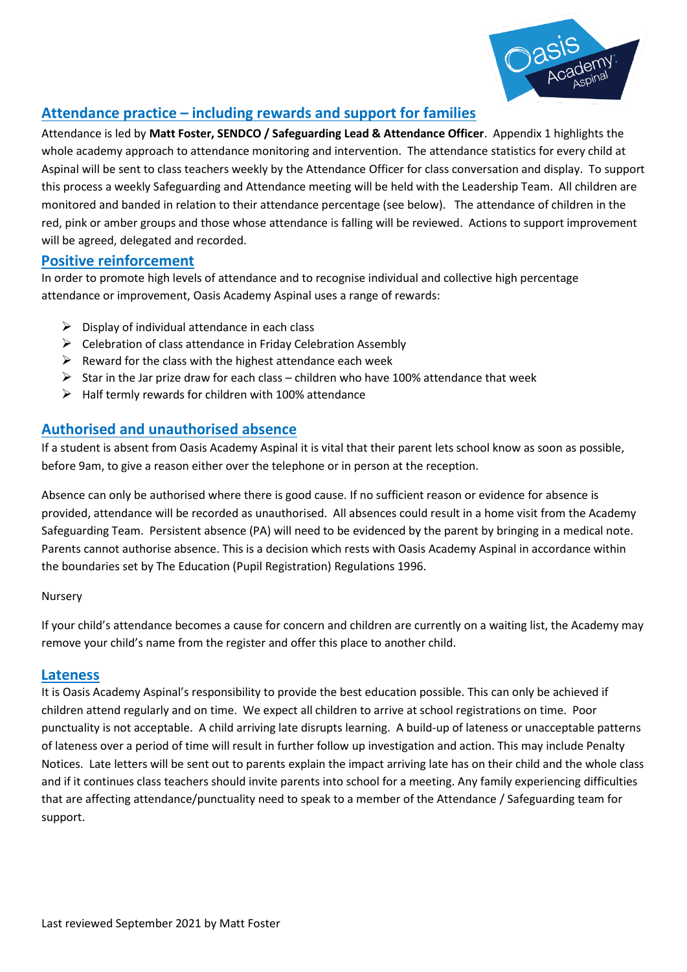

### **Attendance practice – including rewards and support for families**

Attendance is led by **Matt Foster, SENDCO / Safeguarding Lead & Attendance Officer**. Appendix 1 highlights the whole academy approach to attendance monitoring and intervention. The attendance statistics for every child at Aspinal will be sent to class teachers weekly by the Attendance Officer for class conversation and display. To support this process a weekly Safeguarding and Attendance meeting will be held with the Leadership Team. All children are monitored and banded in relation to their attendance percentage (see below). The attendance of children in the red, pink or amber groups and those whose attendance is falling will be reviewed. Actions to support improvement will be agreed, delegated and recorded.

#### **Positive reinforcement**

In order to promote high levels of attendance and to recognise individual and collective high percentage attendance or improvement, Oasis Academy Aspinal uses a range of rewards:

- $\triangleright$  Display of individual attendance in each class
- ➢ Celebration of class attendance in Friday Celebration Assembly
- $\triangleright$  Reward for the class with the highest attendance each week
- $\triangleright$  Star in the Jar prize draw for each class children who have 100% attendance that week
- $\triangleright$  Half termly rewards for children with 100% attendance

#### **Authorised and unauthorised absence**

If a student is absent from Oasis Academy Aspinal it is vital that their parent lets school know as soon as possible, before 9am, to give a reason either over the telephone or in person at the reception.

Absence can only be authorised where there is good cause. If no sufficient reason or evidence for absence is provided, attendance will be recorded as unauthorised. All absences could result in a home visit from the Academy Safeguarding Team. Persistent absence (PA) will need to be evidenced by the parent by bringing in a medical note. Parents cannot authorise absence. This is a decision which rests with Oasis Academy Aspinal in accordance within the boundaries set by The Education (Pupil Registration) Regulations 1996.

#### Nursery

If your child's attendance becomes a cause for concern and children are currently on a waiting list, the Academy may remove your child's name from the register and offer this place to another child.

#### **Lateness**

It is Oasis Academy Aspinal's responsibility to provide the best education possible. This can only be achieved if children attend regularly and on time. We expect all children to arrive at school registrations on time. Poor punctuality is not acceptable. A child arriving late disrupts learning. A build-up of lateness or unacceptable patterns of lateness over a period of time will result in further follow up investigation and action. This may include Penalty Notices. Late letters will be sent out to parents explain the impact arriving late has on their child and the whole class and if it continues class teachers should invite parents into school for a meeting. Any family experiencing difficulties that are affecting attendance/punctuality need to speak to a member of the Attendance / Safeguarding team for support.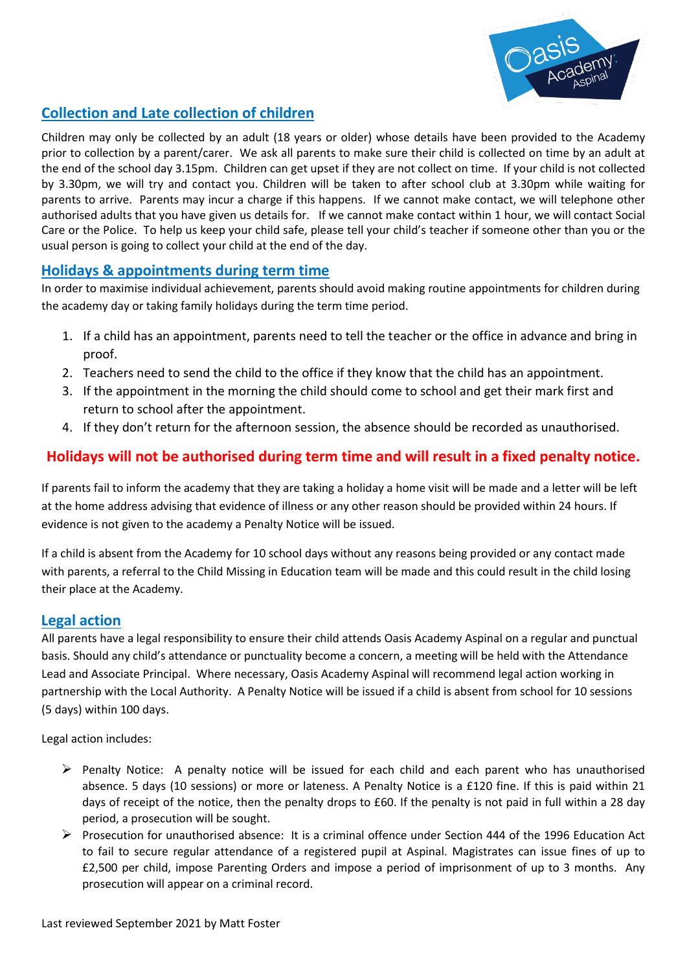

# **Collection and Late collection of children**

Children may only be collected by an adult (18 years or older) whose details have been provided to the Academy prior to collection by a parent/carer. We ask all parents to make sure their child is collected on time by an adult at the end of the school day 3.15pm. Children can get upset if they are not collect on time. If your child is not collected by 3.30pm, we will try and contact you. Children will be taken to after school club at 3.30pm while waiting for parents to arrive. Parents may incur a charge if this happens. If we cannot make contact, we will telephone other authorised adults that you have given us details for. If we cannot make contact within 1 hour, we will contact Social Care or the Police.To help us keep your child safe, please tell your child's teacher if someone other than you or the usual person is going to collect your child at the end of the day.

#### **Holidays & appointments during term time**

In order to maximise individual achievement, parents should avoid making routine appointments for children during the academy day or taking family holidays during the term time period.

- 1. If a child has an appointment, parents need to tell the teacher or the office in advance and bring in proof.
- 2. Teachers need to send the child to the office if they know that the child has an appointment.
- 3. If the appointment in the morning the child should come to school and get their mark first and return to school after the appointment.
- 4. If they don't return for the afternoon session, the absence should be recorded as unauthorised.

# **Holidays will not be authorised during term time and will result in a fixed penalty notice.**

If parents fail to inform the academy that they are taking a holiday a home visit will be made and a letter will be left at the home address advising that evidence of illness or any other reason should be provided within 24 hours. If evidence is not given to the academy a Penalty Notice will be issued.

If a child is absent from the Academy for 10 school days without any reasons being provided or any contact made with parents, a referral to the Child Missing in Education team will be made and this could result in the child losing their place at the Academy.

#### **Legal action**

All parents have a legal responsibility to ensure their child attends Oasis Academy Aspinal on a regular and punctual basis. Should any child's attendance or punctuality become a concern, a meeting will be held with the Attendance Lead and Associate Principal. Where necessary, Oasis Academy Aspinal will recommend legal action working in partnership with the Local Authority. A Penalty Notice will be issued if a child is absent from school for 10 sessions (5 days) within 100 days.

Legal action includes:

- $\triangleright$  Penalty Notice: A penalty notice will be issued for each child and each parent who has unauthorised absence. 5 days (10 sessions) or more or lateness. A Penalty Notice is a £120 fine. If this is paid within 21 days of receipt of the notice, then the penalty drops to £60. If the penalty is not paid in full within a 28 day period, a prosecution will be sought.
- ➢ Prosecution for unauthorised absence: It is a criminal offence under Section 444 of the 1996 Education Act to fail to secure regular attendance of a registered pupil at Aspinal. Magistrates can issue fines of up to £2,500 per child, impose Parenting Orders and impose a period of imprisonment of up to 3 months. Any prosecution will appear on a criminal record.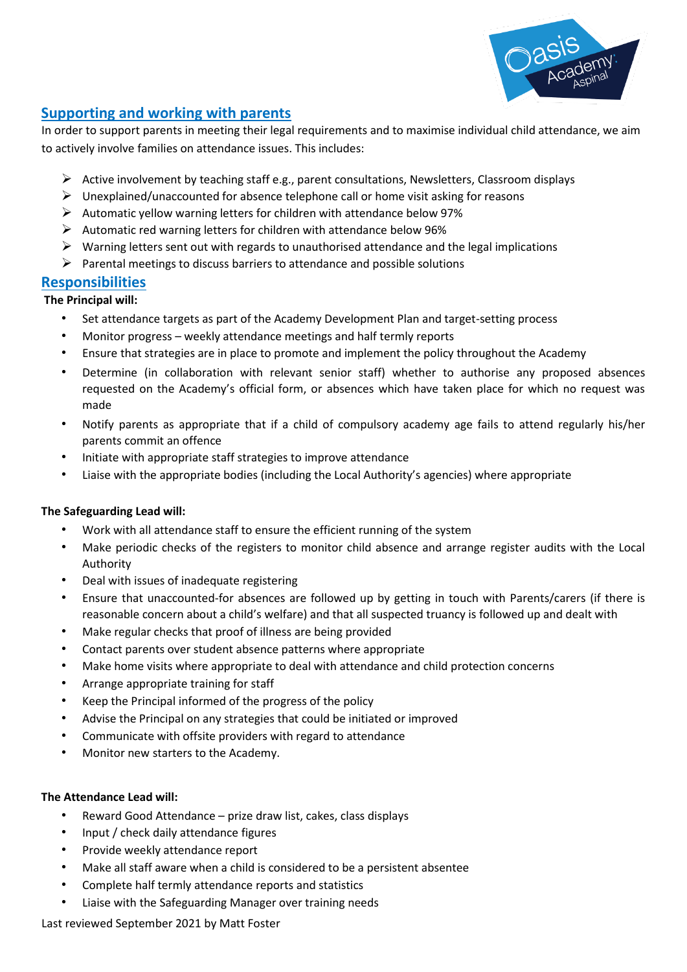

#### **Supporting and working with parents**

In order to support parents in meeting their legal requirements and to maximise individual child attendance, we aim to actively involve families on attendance issues. This includes:

- $\triangleright$  Active involvement by teaching staff e.g., parent consultations, Newsletters, Classroom displays
- $\triangleright$  Unexplained/unaccounted for absence telephone call or home visit asking for reasons
- ➢ Automatic yellow warning letters for children with attendance below 97%
- $\triangleright$  Automatic red warning letters for children with attendance below 96%
- $\triangleright$  Warning letters sent out with regards to unauthorised attendance and the legal implications
- $\triangleright$  Parental meetings to discuss barriers to attendance and possible solutions

#### **Responsibilities**

#### **The Principal will:**

- Set attendance targets as part of the Academy Development Plan and target-setting process
- Monitor progress weekly attendance meetings and half termly reports
- Ensure that strategies are in place to promote and implement the policy throughout the Academy
- Determine (in collaboration with relevant senior staff) whether to authorise any proposed absences requested on the Academy's official form, or absences which have taken place for which no request was made
- Notify parents as appropriate that if a child of compulsory academy age fails to attend regularly his/her parents commit an offence
- Initiate with appropriate staff strategies to improve attendance
- Liaise with the appropriate bodies (including the Local Authority's agencies) where appropriate

#### **The Safeguarding Lead will:**

- Work with all attendance staff to ensure the efficient running of the system
- Make periodic checks of the registers to monitor child absence and arrange register audits with the Local Authority
- Deal with issues of inadequate registering
- Ensure that unaccounted-for absences are followed up by getting in touch with Parents/carers (if there is reasonable concern about a child's welfare) and that all suspected truancy is followed up and dealt with
- Make regular checks that proof of illness are being provided
- Contact parents over student absence patterns where appropriate
- Make home visits where appropriate to deal with attendance and child protection concerns
- Arrange appropriate training for staff
- Keep the Principal informed of the progress of the policy
- Advise the Principal on any strategies that could be initiated or improved
- Communicate with offsite providers with regard to attendance
- Monitor new starters to the Academy.

#### **The Attendance Lead will:**

- Reward Good Attendance prize draw list, cakes, class displays
- Input / check daily attendance figures
- Provide weekly attendance report
- Make all staff aware when a child is considered to be a persistent absentee
- Complete half termly attendance reports and statistics
- Liaise with the Safeguarding Manager over training needs

Last reviewed September 2021 by Matt Foster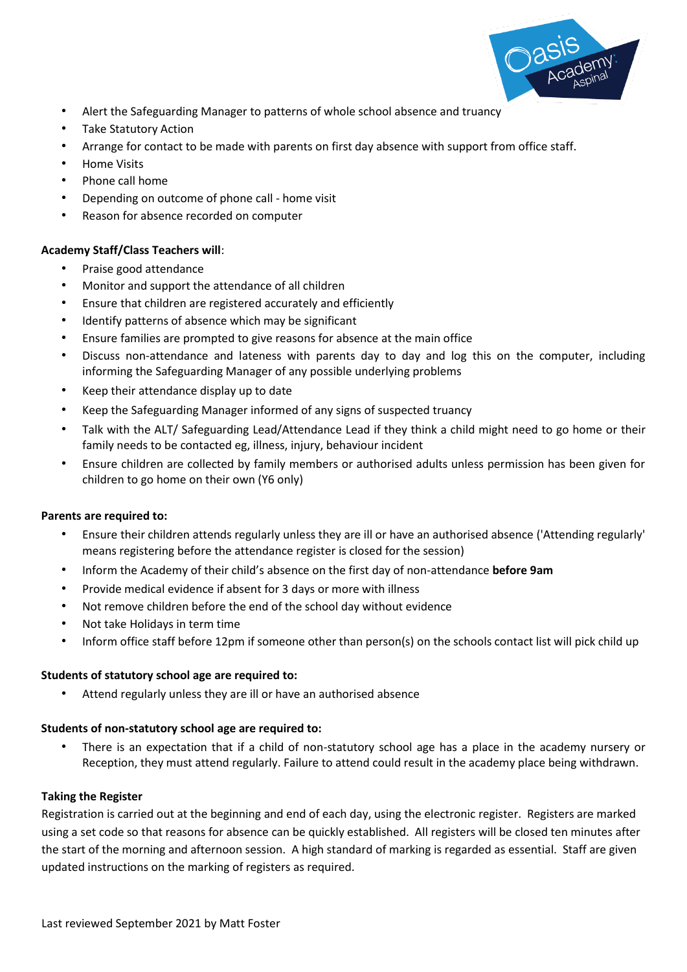

- Alert the Safeguarding Manager to patterns of whole school absence and truancy
- Take Statutory Action
- Arrange for contact to be made with parents on first day absence with support from office staff.
- Home Visits
- Phone call home
- Depending on outcome of phone call home visit
- Reason for absence recorded on computer

#### **Academy Staff/Class Teachers will**:

- Praise good attendance
- Monitor and support the attendance of all children
- Ensure that children are registered accurately and efficiently
- Identify patterns of absence which may be significant
- Ensure families are prompted to give reasons for absence at the main office
- Discuss non-attendance and lateness with parents day to day and log this on the computer, including informing the Safeguarding Manager of any possible underlying problems
- Keep their attendance display up to date
- Keep the Safeguarding Manager informed of any signs of suspected truancy
- Talk with the ALT/ Safeguarding Lead/Attendance Lead if they think a child might need to go home or their family needs to be contacted eg, illness, injury, behaviour incident
- Ensure children are collected by family members or authorised adults unless permission has been given for children to go home on their own (Y6 only)

#### **Parents are required to:**

- Ensure their children attends regularly unless they are ill or have an authorised absence ('Attending regularly' means registering before the attendance register is closed for the session)
- Inform the Academy of their child's absence on the first day of non-attendance **before 9am**
- Provide medical evidence if absent for 3 days or more with illness
- Not remove children before the end of the school day without evidence
- Not take Holidays in term time
- Inform office staff before 12pm if someone other than person(s) on the schools contact list will pick child up

#### **Students of statutory school age are required to:**

• Attend regularly unless they are ill or have an authorised absence

#### **Students of non-statutory school age are required to:**

• There is an expectation that if a child of non-statutory school age has a place in the academy nursery or Reception, they must attend regularly. Failure to attend could result in the academy place being withdrawn.

#### **Taking the Register**

Registration is carried out at the beginning and end of each day, using the electronic register. Registers are marked using a set code so that reasons for absence can be quickly established. All registers will be closed ten minutes after the start of the morning and afternoon session. A high standard of marking is regarded as essential. Staff are given updated instructions on the marking of registers as required.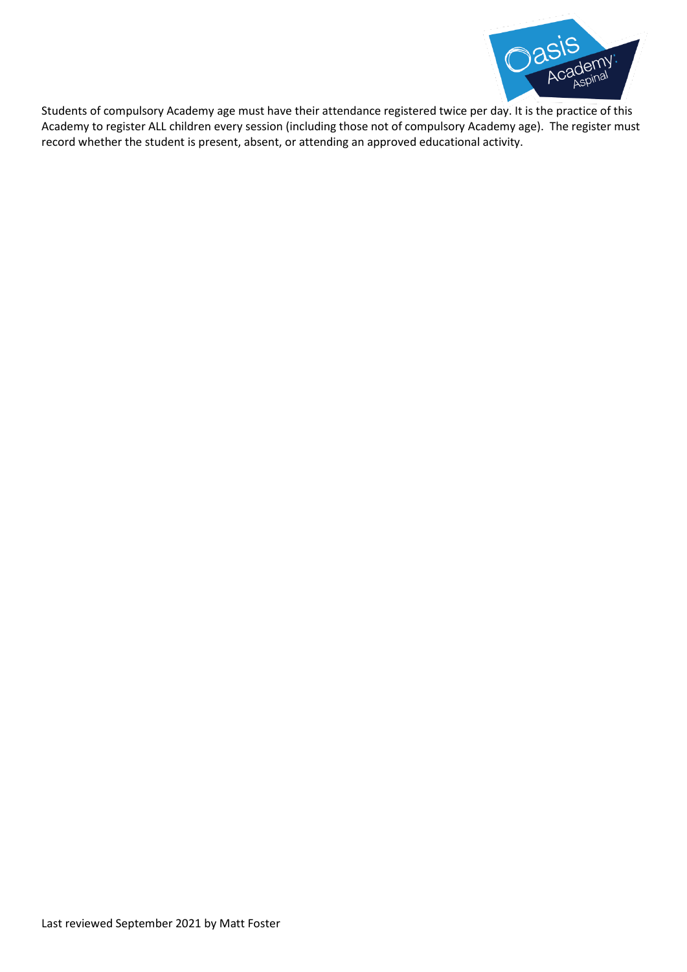

Students of compulsory Academy age must have their attendance registered twice per day. It is the practice of this Academy to register ALL children every session (including those not of compulsory Academy age). The register must record whether the student is present, absent, or attending an approved educational activity.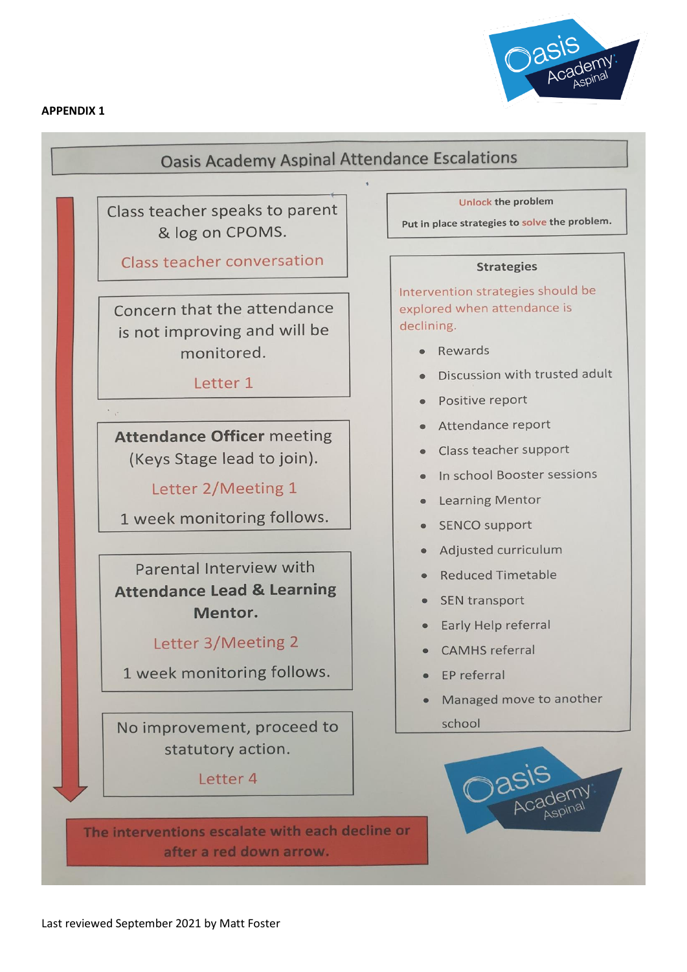



# **Oasis Academy Aspinal Attendance Escalations**

Class teacher speaks to parent & log on CPOMS.

Class teacher conversation

Concern that the attendance is not improving and will be monitored.

Letter 1

**Attendance Officer meeting** (Keys Stage lead to join).

Letter 2/Meeting 1

1 week monitoring follows.

Parental Interview with **Attendance Lead & Learning** Mentor.

# Letter 3/Meeting 2

1 week monitoring follows.

No improvement, proceed to statutory action.

Letter 4

The interventions escalate with each decline or after a red down arrow.

**Unlock the problem** 

Put in place strategies to solve the problem.

#### **Strategies**

Intervention strategies should be explored when attendance is declining.

- Rewards
- Discussion with trusted adult
- Positive report
- Attendance report
- Class teacher support
- · In school Booster sessions
- Learning Mentor
- SENCO support
- Adjusted curriculum
- **Reduced Timetable**
- **SEN** transport
- Early Help referral
- **CAMHS** referral
- EP referral
- Managed move to another school